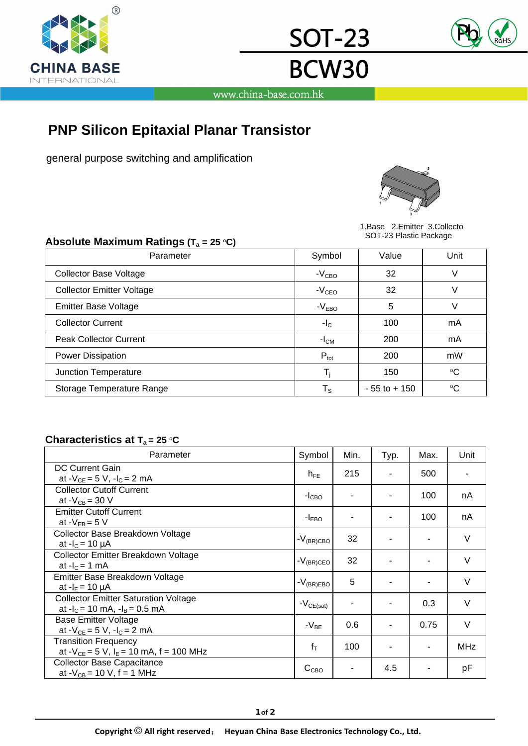

www.china-base.com.hk

<u>SOT-23</u>

**BCW30** 

# **PNP Silicon Epitaxial Planar Transistor**

general purpose switching and amplification



 1.Base 2.Emitter 3.Collecto **Absolute Maximum Ratings (T = 25 OC)** SOT-23 Plastic Package

| Absolute Maximum Ratings ( $T_a = 25 \text{ }^{\circ}C$ ) |                         | <b>OUT LUT INSHUT ACKAGE</b> |                 |  |  |
|-----------------------------------------------------------|-------------------------|------------------------------|-----------------|--|--|
| Parameter                                                 | Symbol                  | Value                        | Unit            |  |  |
| <b>Collector Base Voltage</b>                             | $-VCBO$                 | 32                           | V               |  |  |
| <b>Collector Emitter Voltage</b>                          | $-VCEO$                 | 32                           | V               |  |  |
| <b>Emitter Base Voltage</b>                               | $-VEBO$                 | 5                            | V               |  |  |
| <b>Collector Current</b>                                  | $-I_{\rm C}$            | 100                          | mA              |  |  |
| <b>Peak Collector Current</b>                             | $-ICM$                  | 200                          | mA              |  |  |
| <b>Power Dissipation</b>                                  | $P_{\text{tot}}$        | 200                          | mW              |  |  |
| Junction Temperature                                      | $\mathsf{T}_\mathsf{i}$ | 150                          | $\rm ^{\circ}C$ |  |  |
| Storage Temperature Range                                 | $T_{\rm S}$             | $-55$ to $+150$              | $\rm ^{\circ}C$ |  |  |

## **Characteristics at T<sub>a</sub> = 25 °C**

| Parameter                                                                         | Symbol           | Min. | Typ. | Max. | Unit       |
|-----------------------------------------------------------------------------------|------------------|------|------|------|------------|
| <b>DC Current Gain</b><br>at $-V_{CE} = 5 V$ , $-I_C = 2 mA$                      | $h_{FE}$         | 215  |      | 500  |            |
| <b>Collector Cutoff Current</b><br>at $-V_{CB} = 30 V$                            | $-ICBO$          |      |      | 100  | nA         |
| <b>Emitter Cutoff Current</b><br>at $-V_{FB} = 5 V$                               | $-IEBO$          |      |      | 100  | nA         |
| Collector Base Breakdown Voltage<br>at $-I_c = 10 \mu A$                          | $-V_{(BR)CBO}$   | 32   |      |      | V          |
| Collector Emitter Breakdown Voltage<br>at $-IC = 1$ mA                            | $-V_{(BR)CEO}$   | 32   |      |      | $\vee$     |
| Emitter Base Breakdown Voltage<br>at $-I_E = 10 \mu A$                            | $-V_{(BR)EBO}$   | 5    |      |      | $\vee$     |
| <b>Collector Emitter Saturation Voltage</b><br>at $-I_c = 10$ mA, $-I_B = 0.5$ mA | $-V_{CE(sat)}$   |      |      | 0.3  | $\vee$     |
| <b>Base Emitter Voltage</b><br>at $-V_{CE} = 5 V$ , $-I_C = 2 mA$                 | $-V_{BE}$        | 0.6  |      | 0.75 | $\vee$     |
| <b>Transition Frequency</b><br>at $-V_{CE} = 5 V$ , $I_E = 10$ mA, f = 100 MHz    | $f_T$            | 100  |      |      | <b>MHz</b> |
| <b>Collector Base Capacitance</b><br>at $-V_{CB} = 10 V$ , f = 1 MHz              | C <sub>CBO</sub> |      | 4.5  |      | рF         |